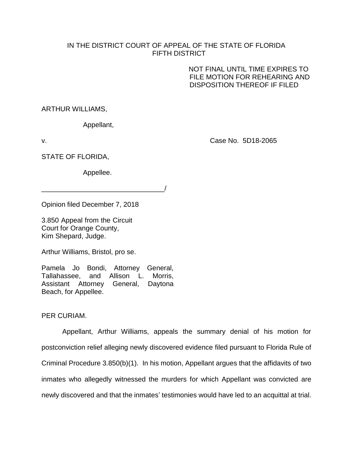## IN THE DISTRICT COURT OF APPEAL OF THE STATE OF FLORIDA FIFTH DISTRICT

NOT FINAL UNTIL TIME EXPIRES TO FILE MOTION FOR REHEARING AND DISPOSITION THEREOF IF FILED

ARTHUR WILLIAMS,

Appellant,

v. Case No. 5D18-2065

STATE OF FLORIDA,

Appellee.

\_\_\_\_\_\_\_\_\_\_\_\_\_\_\_\_\_\_\_\_\_\_\_\_\_\_\_\_\_\_\_\_/

Opinion filed December 7, 2018

3.850 Appeal from the Circuit Court for Orange County, Kim Shepard, Judge.

Arthur Williams, Bristol, pro se.

Pamela Jo Bondi, Attorney General, Tallahassee, and Allison L. Morris, Assistant Attorney General, Daytona Beach, for Appellee.

PER CURIAM.

Appellant, Arthur Williams, appeals the summary denial of his motion for postconviction relief alleging newly discovered evidence filed pursuant to Florida Rule of Criminal Procedure 3.850(b)(1). In his motion, Appellant argues that the affidavits of two inmates who allegedly witnessed the murders for which Appellant was convicted are newly discovered and that the inmates' testimonies would have led to an acquittal at trial.